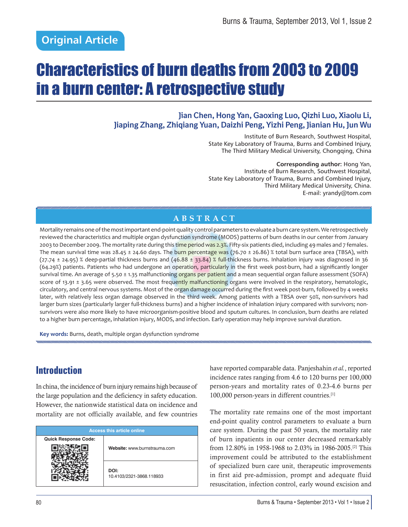# Characteristics of burn deaths from 2003 to 2009 in a burn center: A retrospective study

### **Jian Chen, Hong Yan, Gaoxing Luo, Qizhi Luo, Xiaolu Li, Jiaping Zhang, Zhiqiang Yuan, Daizhi Peng, Yizhi Peng, Jianian Hu, Jun Wu**

Institute of Burn Research, Southwest Hospital, State Key Laboratory of Trauma, Burns and Combined Injury, The Third Military Medical University, Chongqing, China

**Corresponding author:** Hong Yan, Institute of Burn Research, Southwest Hospital, State Key Laboratory of Trauma, Burns and Combined Injury, Third Military Medical University, China. E-mail: yrandy@tom.com

### **ABSTRACT**

Mortality remains one of the most important end-point quality control parameters to evaluate a burn care system. We retrospectively reviewed the characteristics and multiple organ dysfunction syndrome (MODS) patterns of burn deaths in our center from January 2003 to December 2009. The mortality rate during this time period was 2.3%. Fifty-six patients died, including 49 males and 7 females. The mean survival time was 28.45 ± 24.60 days. The burn percentage was (76.70 ± 26.86) % total burn surface area (TBSA), with  $(27.74 \pm 24.95)$  % deep-partial thickness burns and  $(46.88 \pm 33.84)$  % full-thickness burns. Inhalation injury was diagnosed in 36 (64.29%) patients. Patients who had undergone an operation, particularly in the first week post-burn, had a significantly longer survival time. An average of 5.50 ± 1.35 malfunctioning organs per patient and a mean sequential organ failure assessment (SOFA) score of 13.91  $\pm$  3.65 were observed. The most frequently malfunctioning organs were involved in the respiratory, hematologic, circulatory, and central nervous systems. Most of the organ damage occurred during the first week post-burn, followed by 4 weeks later, with relatively less organ damage observed in the third week. Among patients with a TBSA over 50%, non-survivors had larger burn sizes (particularly larger full-thickness burns) and a higher incidence of inhalation injury compared with survivors; nonsurvivors were also more likely to have microorganism-positive blood and sputum cultures. In conclusion, burn deaths are related to a higher burn percentage, inhalation injury, MODS, and infection. Early operation may help improve survival duration.

**Key words:** Burns, death, multiple organ dysfunction syndrome

# **Introduction**

In china, the incidence of burn injury remains high because of the large population and the deficiency in safety education. However, the nationwide statistical data on incidence and mortality are not officially available, and few countries

| <b>Access this article online</b> |                                  |  |
|-----------------------------------|----------------------------------|--|
| <b>Quick Response Code:</b>       | Website: www.burnstrauma.com     |  |
|                                   | DOI:<br>10.4103/2321-3868.118933 |  |

have reported comparable data. Panjeshahin *et al.*, reported incidence rates ranging from 4.6 to 120 burns per 100,000 person-years and mortality rates of 0.23-4.6 burns per 100,000 person-years in different countries.[1]

The mortality rate remains one of the most important end-point quality control parameters to evaluate a burn care system. During the past 50 years, the mortality rate of burn inpatients in our center decreased remarkably from 12.80% in 1958-1968 to 2.03% in 1986-2005.[2] This improvement could be attributed to the establishment of specialized burn care unit, therapeutic improvements in first aid pre-admission, prompt and adequate fluid resuscitation, infection control, early wound excision and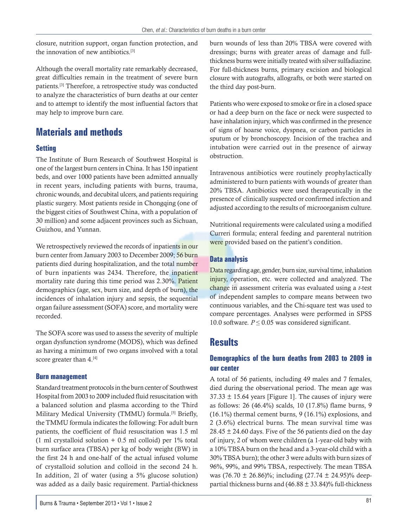closure, nutrition support, organ function protection, and the innovation of new antibiotics.<sup>[3]</sup>

Although the overall mortality rate remarkably decreased, great difficulties remain in the treatment of severe burn patients.[3] Therefore, a retrospective study was conducted to analyze the characteristics of burn deaths at our center and to attempt to identify the most influential factors that may help to improve burn care.

# **Materials and methods**

### **Setting**

The Institute of Burn Research of Southwest Hospital is one of the largest burn centers in China. It has 150 inpatient beds, and over 1000 patients have been admitted annually in recent years, including patients with burns, trauma, chronic wounds, and decubital ulcers, and patients requiring plastic surgery. Most patients reside in Chongqing (one of the biggest cities of Southwest China, with a population of 30 million) and some adjacent provinces such as Sichuan, Guizhou, and Yunnan.

We retrospectively reviewed the records of inpatients in our burn center from January 2003 to December 2009; 56 burn patients died during hospitalization, and the total number of burn inpatients was 2434. Therefore, the inpatient mortality rate during this time period was 2.30%. Patient demographics (age, sex, burn size, and depth of burn), the incidences of inhalation injury and sepsis, the sequential organ failure assessment (SOFA) score, and mortality were recorded.

The SOFA score was used to assess the severity of multiple organ dysfunction syndrome (MODS), which was defined as having a minimum of two organs involved with a total score greater than 4.<sup>[4]</sup>

#### **Burn management**

Standard treatment protocols in the burn center of Southwest Hospital from 2003 to 2009 included fluid resuscitation with a balanced solution and plasma according to the Third Military Medical University (TMMU) formula.<sup>[5]</sup> Briefly, the TMMU formula indicates the following: For adult burn patients, the coefficient of fluid resuscitation was 1.5 ml (1 ml crystalloid solution  $+$  0.5 ml colloid) per 1% total burn surface area (TBSA) per kg of body weight (BW) in the first 24 h and one-half of the actual infused volume of crystalloid solution and colloid in the second 24 h. In addition, 2l of water (using a 5% glucose solution) was added as a daily basic requirement. Partial-thickness

burn wounds of less than 20% TBSA were covered with dressings; burns with greater areas of damage and fullthickness burns were initially treated with silver sulfadiazine. For full-thickness burns, primary excision and biological closure with autografts, allografts, or both were started on the third day post-burn.

Patients who were exposed to smoke or fire in a closed space or had a deep burn on the face or neck were suspected to have inhalation injury, which was confirmed in the presence of signs of hoarse voice, dyspnea, or carbon particles in sputum or by bronchoscopy. Incision of the trachea and intubation were carried out in the presence of airway obstruction.

Intravenous antibiotics were routinely prophylactically administered to burn patients with wounds of greater than 20% TBSA. Antibiotics were used therapeutically in the presence of clinically suspected or confirmed infection and adjusted according to the results of microorganism culture.

Nutritional requirements were calculated using a modified Curreri formula; enteral feeding and parenteral nutrition were provided based on the patient's condition.

### **Data analysis**

Data regarding age, gender, burn size, survival time, inhalation injury, operation, etc. were collected and analyzed. The change in assessment criteria was evaluated using a *t*-test of independent samples to compare means between two continuous variables, and the Chi-square test was used to compare percentages. Analyses were performed in SPSS 10.0 software.  $P \le 0.05$  was considered significant.

### **Results**

### **Demographics of the burn deaths from 2003 to 2009 in our center**

A total of 56 patients, including 49 males and 7 females, died during the observational period. The mean age was  $37.33 \pm 15.64$  years [Figure 1]. The causes of injury were as follows: 26 (46.4%) scalds, 10 (17.8%) flame burns, 9 (16.1%) thermal cement burns, 9 (16.1%) explosions, and 2 (3.6%) electrical burns. The mean survival time was  $28.45 \pm 24.60$  days. Five of the 56 patients died on the day of injury, 2 of whom were children (a 1-year-old baby with a 10% TBSA burn on the head and a 3-year-old child with a 30% TBSA burn); the other 3 were adults with burn sizes of 96%, 99%, and 99% TBSA, respectively. The mean TBSA was (76.70  $\pm$  26.86)%; including (27.74  $\pm$  24.95)% deeppartial thickness burns and  $(46.88 \pm 33.84)\%$  full-thickness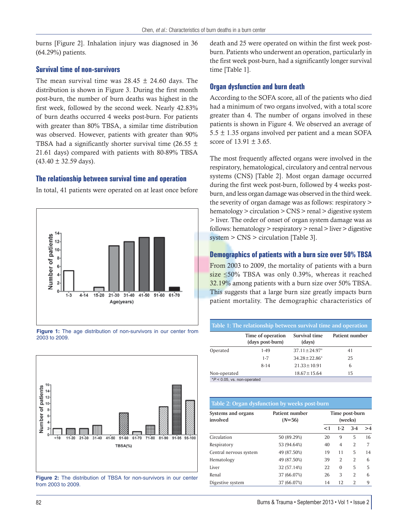burns [Figure 2]. Inhalation injury was diagnosed in 36 (64.29%) patients.

#### **Survival time of non-survivors**

The mean survival time was  $28.45 \pm 24.60$  days. The distribution is shown in Figure 3. During the first month post-burn, the number of burn deaths was highest in the first week, followed by the second week. Nearly 42.83% of burn deaths occurred 4 weeks post-burn. For patients with greater than 80% TBSA, a similar time distribution was observed. However, patients with greater than 90% TBSA had a significantly shorter survival time (26.55  $\pm$ 21.61 days) compared with patients with 80-89% TBSA  $(43.40 \pm 32.59$  days).

#### **The relationship between survival time and operation**

In total, 41 patients were operated on at least once before



**Figure 1:** The age distribution of non-survivors in our center from 2003 to 2009.



**Figure 2:** The distribution of TBSA for non-survivors in our center from 2003 to 2009.

death and 25 were operated on within the first week postburn. Patients who underwent an operation, particularly in the first week post-burn, had a significantly longer survival time [Table 1].

#### **Organ dysfunction and burn death**

According to the SOFA score, all of the patients who died had a minimum of two organs involved, with a total score greater than 4. The number of organs involved in these patients is shown in Figure 4. We observed an average of  $5.5 \pm 1.35$  organs involved per patient and a mean SOFA score of  $13.91 \pm 3.65$ .

The most frequently affected organs were involved in the respiratory, hematological, circulatory and central nervous systems (CNS) [Table 2]. Most organ damage occurred during the first week post-burn, followed by 4 weeks postburn, and less organ damage was observed in the third week. the severity of organ damage was as follows: respiratory > hematology > circulation > CNS > renal > digestive system > liver. The order of onset of organ system damage was as follows: hematology > respiratory > renal > liver > digestive system > CNS > circulation [Table 3].

#### **Demographics of patients with a burn size over 50% TBSA**

From 2003 to 2009, the mortality of patients with a burn size ≤50% TBSA was only 0.39%, whereas it reached 32.19% among patients with a burn size over 50% TBSA. This suggests that a large burn size greatly impacts burn patient mortality. The demographic characteristics of

| Table 1: The relationship between survival time and operation |                                       |                         |                |
|---------------------------------------------------------------|---------------------------------------|-------------------------|----------------|
|                                                               | Time of operation<br>(days post-burn) | Survival time<br>(days) | Patient number |
| Operated                                                      | 1-49                                  | $37.11 \pm 24.97^*$     | 41             |
|                                                               | $1 - 7$                               | $34.28 \pm 22.86^*$     | 25             |
|                                                               | $8 - 14$                              | $21.33 \pm 10.91$       | 6              |
| Non-operated                                                  |                                       | $18.67 \pm 15.64$       | 15             |
| $*P < 0.05$ , vs. non-operated                                |                                       |                         |                |

| Table 2: Organ dysfunction by weeks post-burn |                            |                           |                |                |    |
|-----------------------------------------------|----------------------------|---------------------------|----------------|----------------|----|
| Systems and organs<br>involved                | Patient number<br>$(N=56)$ | Time post-burn<br>(weeks) |                |                |    |
|                                               |                            | $<$ 1                     | $1-2$          | $3-4$          | >4 |
| Circulation                                   | 50 (89.29%)                | 20                        | 9              | 5              | 16 |
| Respiratory                                   | 53 (94.64%)                | 40                        | $\overline{4}$ | $\overline{2}$ | 7  |
| Central nervous system                        | 49 (87.50%)                | 19                        | 11             | 5              | 14 |
| Hematology                                    | 49 (87.50%)                | 39                        | $\overline{2}$ | $\overline{2}$ | 6  |
| Liver                                         | 32 (57.14%)                | 22                        | $\Omega$       | 5              | 5  |
| Renal                                         | 37 (66.07%)                | 26                        | 3              | $\overline{2}$ | 6  |
| Digestive system                              | 37 (66.07%)                | 14                        | 12             | $\overline{2}$ | 9  |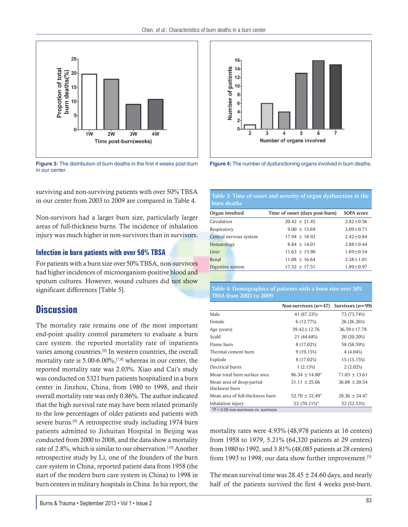

Figure 3: The distribution of burn deaths in the first 4 weeks post-burn Figure 4: The number of dysfunctioning organs involved in burn deaths. in our center.

surviving and non-surviving patients with over 50% TBSA in our center from 2003 to 2009 are compared in Table 4.

Non-survivors had a larger burn size, particularly larger areas of full-thickness burns. The incidence of inhalation injury was much higher in non-survivors than in survivors.

### **Infection in burn patients with over 50% TBSA**

For patients with a burn size over 50% TBSA, non-survivors had higher incidences of microorganism-positive blood and sputum cultures. However, wound cultures did not show significant differences [Table 5].

# **Discussion**

The mortality rate remains one of the most important end-point quality control parameters to evaluate a burn care system. the reported mortality rate of inpatients varies among countries.[6] In western countries, the overall mortality rate is 5.00-6.00%,<sup>[7,8]</sup> whereas in our center, the reported mortality rate was 2.03%. Xiao and Cai's study was conducted on 5321 burn patients hospitalized in a burn center in Jinzhou, China, from 1980 to 1998, and their overall mortality rate was only 0.86%. The author indicated that the high survival rate may have been related primarily to the low percentages of older patients and patients with severe burns.[9] A retrospective study including 1974 burn patients admitted to Jishuitan Hospital in Beijing was conducted from 2000 to 2008, and the data show a mortality rate of 2.8%, which is similar to our observation.[10] Another retrospective study by Li, one of the founders of the burn care system in China, reported patient data from 1958 (the start of the modern burn care system in China) to 1998 in burn centers in military hospitals in China. In his report, the



#### **Table 3: Time of onset and severity of organ dysfunction in the burn deaths**

| Organ involved         | Time of onset (days post-burn) | <b>SOFA</b> score |
|------------------------|--------------------------------|-------------------|
| Circulation            | $20.42 \pm 21.45$              | $2.82 \pm 0.56$   |
| Respiratory            | $9.00 \pm 13.69$               | $3.09 \pm 0.71$   |
| Central nervous system | $17.94 \pm 18.92$              | $2.42 \pm 0.84$   |
| Hematology             | $8.84 \pm 14.01$               | $2.88 \pm 0.44$   |
| Liver                  | $11.63 \pm 15.90$              | $1.69 \pm 0.54$   |
| Renal                  | $11.08 \pm 16.64$              | $2.38 \pm 1.01$   |
| Digestive system       | $17.32 \pm 17.51$              | $1.89 \pm 0.97$   |
|                        |                                |                   |

#### **Table 4: Demographics of patients with a burn size over 50% TBSA from 2003 to 2009**

|                                             | Non-survivors $(n=47)$ | Survivors $(n=99)$ |
|---------------------------------------------|------------------------|--------------------|
| Male                                        | 41 (87.23%)            | 73 (73.74%)        |
| Female                                      | 6 (12.77%)             | 26 (26.26%)        |
| Age (years)                                 | $39.42 \pm 12.76$      | $36.59 \pm 17.78$  |
| Scald                                       | 21 (44.68%)            | 20 (20.20%)        |
| Flame burn                                  | 8 (17.02%)             | 58 (58.59%)        |
| Thermal cement burn                         | 9(19.15%)              | 4(4.04%)           |
| Explode                                     | 8 (17.02%)             | 15 (15.15%)        |
| Electrical burns                            | 1(2.13%)               | 2(2.02%)           |
| Mean total burn surface area                | $86.34 \pm 14.80^*$    | $71.03 \pm 13.61$  |
| Mean area of deep-partial<br>thickness burn | $31.11 \pm 25.66$      | $36.08 \pm 20.54$  |
| Mean area of full-thickness burn            | $52.70 \pm 32.49^*$    | $28.36 \pm 24.47$  |
| Inhalation injury                           | 33 (70.21%)*           | 52 (52.53%)        |
| $*P < 0.05$ non-survivors vs. survivors     |                        |                    |

mortality rates were 4.93% (48,978 patients at 16 centers) from 1958 to 1979, 5.21% (64,320 patients at 29 centers) from 1980 to 1992, and 3.81% (48,085 patients at 28 centers) from 1993 to 1998; our data show further improvement.<sup>[3]</sup>

The mean survival time was  $28.45 \pm 24.60$  days, and nearly half of the patients survived the first 4 weeks post-burn.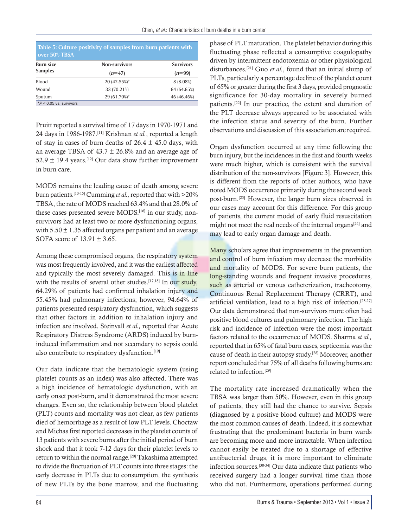| Table 5: Culture positivity of samples from burn patients with<br>over 50% TBSA |                      |                  |  |
|---------------------------------------------------------------------------------|----------------------|------------------|--|
| Burn size<br>Samples                                                            | <b>Non-survivors</b> | <b>Survivors</b> |  |
|                                                                                 | $(n=47)$             | $(n=99)$         |  |
| Blood                                                                           | 20 (42.55%)*         | 8 (8.08%)        |  |
| Wound                                                                           | 33 (70.21%)          | 64 (64.65%)      |  |
| Sputum                                                                          | 29 (61.70%)*         | 46 (46.46%)      |  |
| $*P < 0.05$ vs. survivors                                                       |                      |                  |  |

Pruitt reported a survival time of 17 days in 1970-1971 and 24 days in 1986-1987.[11] Krishnan *et al.*, reported a length of stay in cases of burn deaths of  $26.4 \pm 45.0$  days, with an average TBSA of  $43.7 \pm 26.8\%$  and an average age of 52.9  $\pm$  19.4 years.<sup>[12]</sup> Our data show further improvement in burn care.

MODS remains the leading cause of death among severe burn patients.[13-15] Cumming *et al.,* reported that with >20% TBSA, the rate of MODS reached 63.4% and that 28.0% of these cases presented severe MODS.<sup>[16]</sup> in our study, nonsurvivors had at least two or more dysfunctioning organs, with  $5.50 \pm 1.35$  affected organs per patient and an average SOFA score of 13.91 ± 3.65.

Among these compromised organs, the respiratory system was most frequently involved, and it was the earliest affected and typically the most severely damaged. This is in line with the results of several other studies.<sup>[17,18]</sup> In our study, 64.29% of patients had confirmed inhalation injury and 55.45% had pulmonary infections; however, 94.64% of patients presented respiratory dysfunction, which suggests that other factors in addition to inhalation injury and infection are involved. Steinvall *et al.,* reported that Acute Respiratory Distress Syndrome (ARDS) induced by burninduced inflammation and not secondary to sepsis could also contribute to respiratory dysfunction.<sup>[19]</sup>

Our data indicate that the hematologic system (using platelet counts as an index) was also affected. There was a high incidence of hematologic dysfunction, with an early onset post-burn, and it demonstrated the most severe changes. Even so, the relationship between blood platelet (PLT) counts and mortality was not clear, as few patients died of hemorrhage as a result of low PLT levels. Choctaw and Michas first reported decreases in the platelet counts of 13 patients with severe burns after the initial period of burn shock and that it took 7-12 days for their platelet levels to return to within the normal range.<sup>[20]</sup> Takashima attempted to divide the fluctuation of PLT counts into three stages: the early decrease in PLTs due to consumption, the synthesis of new PLTs by the bone marrow, and the fluctuating phase of PLT maturation. The platelet behavior during this fluctuating phase reflected a consumptive coagulopathy driven by intermittent endotoxemia or other physiological disturbances.[21] Guo *et al.*, found that an initial slump of PLTs, particularly a percentage decline of the platelet count of 65% or greater during the first 3 days, provided prognostic significance for 30-day mortality in severely burned patients.[22] In our practice, the extent and duration of the PLT decrease always appeared to be associated with the infection status and severity of the burn. Further observations and discussion of this association are required.

Organ dysfunction occurred at any time following the burn injury, but the incidences in the first and fourth weeks were much higher, which is consistent with the survival distribution of the non-survivors [Figure 3]. However, this is different from the reports of other authors, who have noted MODS occurrence primarily during the second week post-burn.[23] However, the larger burn sizes observed in our cases may account for this difference. For this group of patients, the current model of early fluid resuscitation might not meet the real needs of the internal organs<sup>[24]</sup> and may lead to early organ damage and death.

Many scholars agree that improvements in the prevention and control of burn infection may decrease the morbidity and mortality of MODS. For severe burn patients, the long-standing wounds and frequent invasive procedures, such as arterial or venous catheterization, tracheotomy, Continuous Renal Replacement Therapy (CRRT), and artificial ventilation, lead to a high risk of infection.<sup>[25-27]</sup> Our data demonstrated that non-survivors more often had positive blood cultures and pulmonary infection. The high risk and incidence of infection were the most important factors related to the occurrence of MODS. Sharma *et al.,* reported that in 65% of fatal burn cases, septicemia was the cause of death in their autopsy study.[28] Moreover, another report concluded that 75% of all deaths following burns are related to infection.[29]

The mortality rate increased dramatically when the TBSA was larger than 50%. However, even in this group of patients, they still had the chance to survive. Sepsis (diagnosed by a positive blood culture) and MODS were the most common causes of death. Indeed, it is somewhat frustrating that the predominant bacteria in burn wards are becoming more and more intractable. When infection cannot easily be treated due to a shortage of effective antibacterial drugs, it is more important to eliminate infection sources.[30-34] Our data indicate that patients who received surgery had a longer survival time than those who did not. Furthermore, operations performed during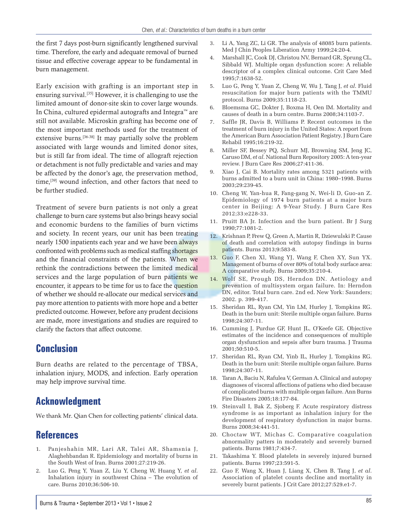the first 7 days post-burn significantly lengthened survival time. Therefore, the early and adequate removal of burned tissue and effective coverage appear to be fundamental in burn management.

Early excision with grafting is an important step in ensuring survival.[35] However, it is challenging to use the limited amount of donor-site skin to cover large wounds. In China, cultured epidermal autografts and Integra™ are still not available. Microskin grafting has become one of the most important methods used for the treatment of extensive burns.[36-38] It may partially solve the problem associated with large wounds and limited donor sites, but is still far from ideal. The time of allograft rejection or detachment is not fully predictable and varies and may be affected by the donor's age, the preservation method, time,<sup>[39]</sup> wound infection, and other factors that need to be further studied.

Treatment of severe burn patients is not only a great challenge to burn care systems but also brings heavy social and economic burdens to the families of burn victims and society. In recent years, our unit has been treating nearly 1500 inpatients each year and we have been always confronted with problems such as medical staffing shortages and the financial constraints of the patients. When we rethink the contradictions between the limited medical services and the large population of burn patients we encounter, it appears to be time for us to face the question of whether we should re-allocate our medical services and pay more attention to patients with more hope and a better predicted outcome. However, before any prudent decisions are made, more investigations and studies are required to clarify the factors that affect outcome.

### **Conclusion**

Burn deaths are related to the percentage of TBSA, inhalation injury, MODS, and infection. Early operation may help improve survival time.

# **Acknowledgment**

We thank Mr. Qian Chen for collecting patients' clinical data.

# **References**

- 1. Panjeshahin MR, Lari AR, Talei AR, Shamsnia J, Alaghehbandan R. Epidemiology and mortality of burns in the South West of Iran. Burns 2001;27:219-26.
- 2. Luo G, Peng Y, Yuan Z, Liu Y, Cheng W, Huang Y, *et al*. Inhalation injury in southwest China – The evolution of care. Burns 2010;36:506-10.
- 3. Li A, Yang ZC, Li GR. The analysis of 48085 burn patients. Med J Chin Peoples Liberation Army 1999;24:20-4.
- 4. Marshall JC, Cook DJ, Christou NV, Bernard GR, Sprung CL, Sibbald WJ. Multiple organ dysfunction score: A reliable descriptor of a complex clinical outcome. Crit Care Med 1995;7:1638-52.
- 5. Luo G, Peng Y, Yuan Z, Cheng W, Wu J, Tang J, *et al*. Fluid resuscitation for major burn patients with the TMMU protocol. Burns 2009;35:1118-23.
- 6. Bloemsma GC, Dokter J, Boxma H, Oen IM. Mortality and causes of death in a burn centre. Burns 2008;34:1103-7.
- 7. Saffle JR, Davis B, Williams P. Recent outcomes in the treatment of burn injury in the United States: A report from the American Burn Association Patient Registry. J Burn Care Rehabil 1995;16:219-32.
- 8. Miller SF, Bessey PQ, Schurr MJ, Browning SM, Jeng JC, Caruso DM, *et al*. National Burn Repository 2005: A ten-year review. J Burn Care Res 2006;27:411-36.
- Xiao J, Cai B. Mortality rates among 5321 patients with burns admitted to a burn unit in China: 1980–1998. Burns 2003;29:239-45.
- 10. Cheng W, Yan-hua R, Fang-gang N, Wei-li D, Guo-an Z. Epidemiology of 1974 burn patients at a major burn center in Beijing: A 9-Year Study. J Burn Care Res 2012;33:e228-33.
- 11. Pruitt BA Jr. Infection and the burn patient. Br J Surg 1990;77:1081-2.
- 12. Krishnan P, Frew Q, Green A, Martin R, Dziewulski P. Cause of death and correlation with autopsy findings in burns patients. Burns 2013;9:583-8.
- 13. Guo F, Chen Xl, Wang YJ, Wang F, Chen XY, Sun YX. Management of burns of over 80% of total body surface area: A comparative study. Burns 2009;35:210-4.
- 14. Wolf SE, Prough DS, Herndon DN. Aetiology and prevention of multisystem organ failure. In: Herndon DN, editor. Total burn care. 2nd ed. New York: Saunders; 2002. p. 399-417.
- 15. Sheridan RL, Ryan CM, Yin LM, Hurley J, Tompkins RG. Death in the burn unit: Sterile multiple organ failure. Burns 1998;24:307-11.
- 16. Cumming J, Purdue GF, Hunt JL, O'Keefe GE. Objective estimates of the incidence and consequences of multiple organ dysfunction and sepsis after burn trauma. J Trauma 2001;50:510-5.
- 17. Sheridan RL, Ryan CM, Yinb IL, Hurley J, Tompkins RG. Death in the burn unit: Sterile multiple organ failure. Burns 1998;24:307-11.
- 18. Taran A, Baciu N, Rafulea V, German A. Clinical and autopsy diagnoses of visceral affections of patiens who died because of complicated burns with multiple organ failure. Ann Burns Fire Disasters 2005;18:177-84.
- 19. Steinvall I, Bak Z, Sjoberg F. Acute respiratory distress syndrome is as important as inhalation injury for the development of respiratory dysfunction in major burns. Burns 2008;34:441-51.
- 20. Choctaw WT, Michas C. Comparative coagulation abnormality patters in moderately and severely burned patients. Burns 1981;7:434-7.
- 21. Takashima Y. Blood platelets in severely injured burned patients. Burns 1997;23:591-5.
- 22. Guo F, Wang X, Huan J, Liang X, Chen B, Tang J, *et al*. Association of platelet counts decline and mortality in severely burnt patients. J Crit Care 2012;27:529.e1-7.